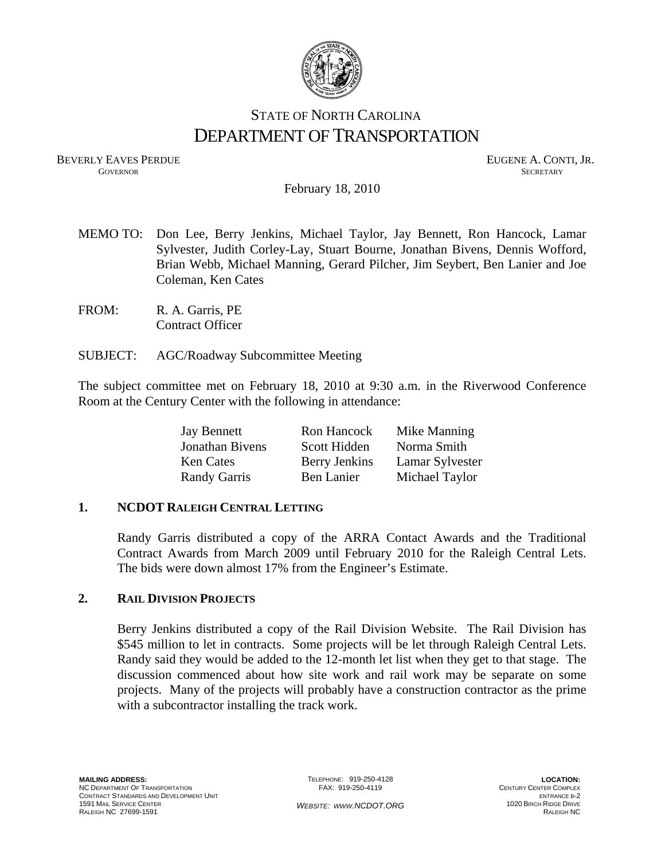

# STATE OF NORTH CAROLINA DEPARTMENT OF TRANSPORTATION

BEVERLY EAVES PERDUE GOVERNOR EUGENE A. CONTI, JR. GOVERNOR SECRETARY

February 18, 2010

- MEMO TO: Don Lee, Berry Jenkins, Michael Taylor, Jay Bennett, Ron Hancock, Lamar Sylvester, Judith Corley-Lay, Stuart Bourne, Jonathan Bivens, Dennis Wofford, Brian Webb, Michael Manning, Gerard Pilcher, Jim Seybert, Ben Lanier and Joe Coleman, Ken Cates
- FROM: R. A. Garris, PE Contract Officer
- SUBJECT: AGC/Roadway Subcommittee Meeting

The subject committee met on February 18, 2010 at 9:30 a.m. in the Riverwood Conference Room at the Century Center with the following in attendance:

| <b>Jay Bennett</b>  | Ron Hancock   | Mike Manning    |
|---------------------|---------------|-----------------|
| Jonathan Bivens     | Scott Hidden  | Norma Smith     |
| <b>Ken Cates</b>    | Berry Jenkins | Lamar Sylvester |
| <b>Randy Garris</b> | Ben Lanier    | Michael Taylor  |

## **1. NCDOT RALEIGH CENTRAL LETTING**

Randy Garris distributed a copy of the ARRA Contact Awards and the Traditional Contract Awards from March 2009 until February 2010 for the Raleigh Central Lets. The bids were down almost 17% from the Engineer's Estimate.

## **2. RAIL DIVISION PROJECTS**

Berry Jenkins distributed a copy of the Rail Division Website. The Rail Division has \$545 million to let in contracts. Some projects will be let through Raleigh Central Lets. Randy said they would be added to the 12-month let list when they get to that stage. The discussion commenced about how site work and rail work may be separate on some projects. Many of the projects will probably have a construction contractor as the prime with a subcontractor installing the track work.

TELEPHONE: 919-250-4128 FAX: 919-250-4119

*WEBSITE: WWW.NCDOT.ORG* 

**LOCATION:**  CENTURY CENTER COMPLEX ENTRANCE B-2 1020 BIRCH RIDGE DRIVE RALEIGH NC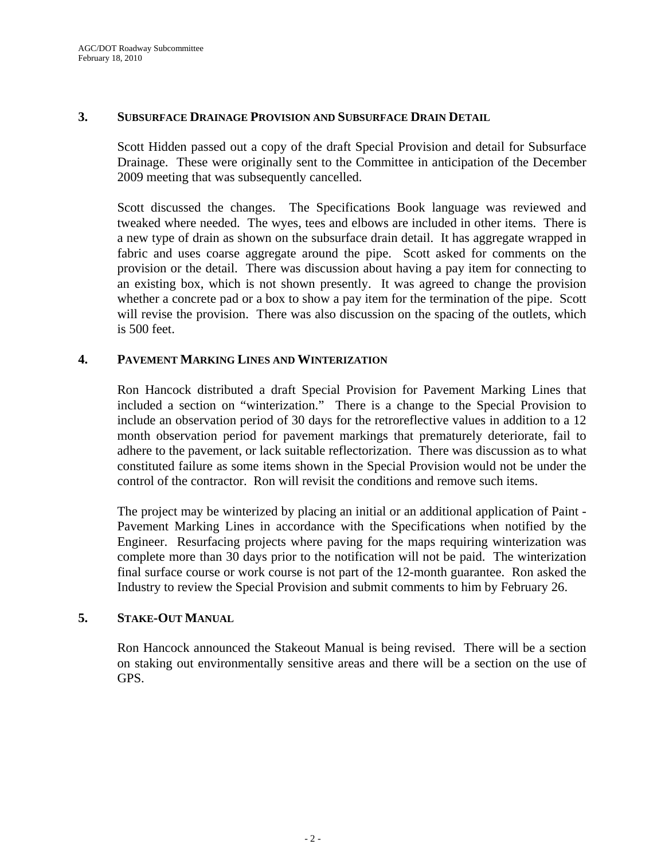#### **3. SUBSURFACE DRAINAGE PROVISION AND SUBSURFACE DRAIN DETAIL**

Scott Hidden passed out a copy of the draft Special Provision and detail for Subsurface Drainage. These were originally sent to the Committee in anticipation of the December 2009 meeting that was subsequently cancelled.

Scott discussed the changes. The Specifications Book language was reviewed and tweaked where needed. The wyes, tees and elbows are included in other items. There is a new type of drain as shown on the subsurface drain detail. It has aggregate wrapped in fabric and uses coarse aggregate around the pipe. Scott asked for comments on the provision or the detail. There was discussion about having a pay item for connecting to an existing box, which is not shown presently. It was agreed to change the provision whether a concrete pad or a box to show a pay item for the termination of the pipe. Scott will revise the provision. There was also discussion on the spacing of the outlets, which is 500 feet.

#### **4. PAVEMENT MARKING LINES AND WINTERIZATION**

Ron Hancock distributed a draft Special Provision for Pavement Marking Lines that included a section on "winterization." There is a change to the Special Provision to include an observation period of 30 days for the retroreflective values in addition to a 12 month observation period for pavement markings that prematurely deteriorate, fail to adhere to the pavement, or lack suitable reflectorization. There was discussion as to what constituted failure as some items shown in the Special Provision would not be under the control of the contractor. Ron will revisit the conditions and remove such items.

The project may be winterized by placing an initial or an additional application of Paint - Pavement Marking Lines in accordance with the Specifications when notified by the Engineer. Resurfacing projects where paving for the maps requiring winterization was complete more than 30 days prior to the notification will not be paid. The winterization final surface course or work course is not part of the 12-month guarantee. Ron asked the Industry to review the Special Provision and submit comments to him by February 26.

## **5. STAKE-OUT MANUAL**

Ron Hancock announced the Stakeout Manual is being revised. There will be a section on staking out environmentally sensitive areas and there will be a section on the use of GPS.